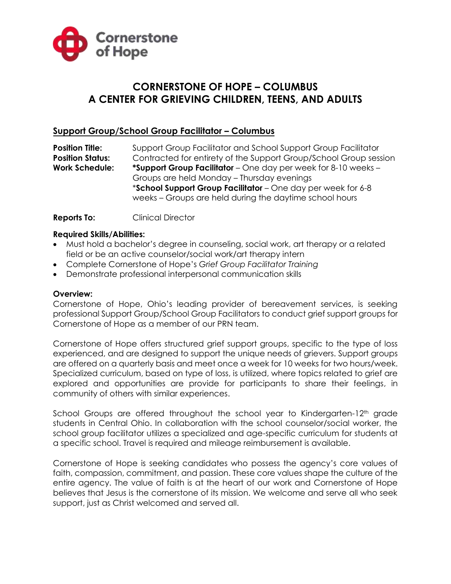

# **CORNERSTONE OF HOPE – COLUMBUS A CENTER FOR GRIEVING CHILDREN, TEENS, AND ADULTS**

## **Support Group/School Group Facilitator – Columbus**

**Position Title:** Support Group Facilitator and School Support Group Facilitator **Position Status:** Contracted for entirety of the Support Group/School Group session **Work Schedule: \*Support Group Facilitator** – One day per week for 8-10 weeks – Groups are held Monday – Thursday evenings \***School Support Group Facilitator** – One day per week for 6-8 weeks – Groups are held during the daytime school hours

**Reports To:** Clinical Director

#### **Required Skills/Abilities:**

- Must hold a bachelor's degree in counseling, social work, art therapy or a related field or be an active counselor/social work/art therapy intern
- Complete Cornerstone of Hope's *Grief Group Facilitator Training*
- Demonstrate professional interpersonal communication skills

#### **Overview:**

Cornerstone of Hope, Ohio's leading provider of bereavement services, is seeking professional Support Group/School Group Facilitators to conduct grief support groups for Cornerstone of Hope as a member of our PRN team.

Cornerstone of Hope offers structured grief support groups, specific to the type of loss experienced, and are designed to support the unique needs of grievers. Support groups are offered on a quarterly basis and meet once a week for 10 weeks for two hours/week. Specialized curriculum, based on type of loss, is utilized, where topics related to grief are explored and opportunities are provide for participants to share their feelings, in community of others with similar experiences.

School Groups are offered throughout the school year to Kindergarten-12<sup>th</sup> grade students in Central Ohio. In collaboration with the school counselor/social worker, the school group facilitator utilizes a specialized and age-specific curriculum for students at a specific school. Travel is required and mileage reimbursement is available.

Cornerstone of Hope is seeking candidates who possess the agency's core values of faith, compassion, commitment, and passion. These core values shape the culture of the entire agency. The value of faith is at the heart of our work and Cornerstone of Hope believes that Jesus is the cornerstone of its mission. We welcome and serve all who seek support, just as Christ welcomed and served all.